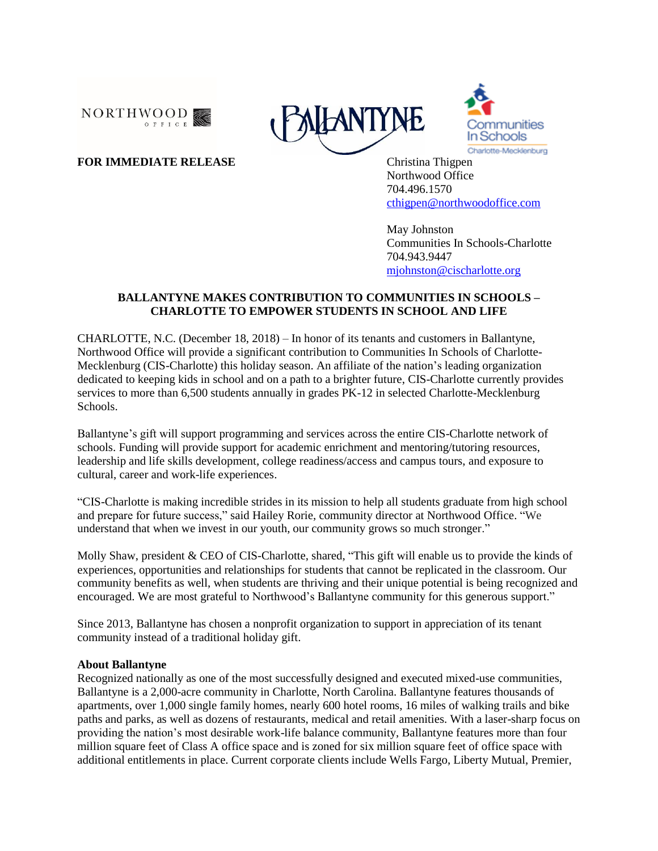





**FOR IMMEDIATE RELEASE** Christina Thigpen Northwood Office 704.496.1570 [cthigpen@northwoodoffice.com](mailto:cthigpen@northwoodoffice.com)

> May Johnston Communities In Schools-Charlotte 704.943.9447 [mjohnston@cischarlotte.org](mailto:mjohnston@cischarlotte.org)

## **BALLANTYNE MAKES CONTRIBUTION TO COMMUNITIES IN SCHOOLS – CHARLOTTE TO EMPOWER STUDENTS IN SCHOOL AND LIFE**

CHARLOTTE, N.C. (December 18, 2018) – In honor of its tenants and customers in Ballantyne, Northwood Office will provide a significant contribution to Communities In Schools of Charlotte-Mecklenburg (CIS-Charlotte) this holiday season. An affiliate of the nation's leading organization dedicated to keeping kids in school and on a path to a brighter future, CIS-Charlotte currently provides services to more than 6,500 students annually in grades PK-12 in selected Charlotte-Mecklenburg Schools.

Ballantyne's gift will support programming and services across the entire CIS-Charlotte network of schools. Funding will provide support for academic enrichment and mentoring/tutoring resources, leadership and life skills development, college readiness/access and campus tours, and exposure to cultural, career and work-life experiences.

"CIS-Charlotte is making incredible strides in its mission to help all students graduate from high school and prepare for future success," said Hailey Rorie, community director at Northwood Office. "We understand that when we invest in our youth, our community grows so much stronger."

Molly Shaw, president & CEO of CIS-Charlotte, shared, "This gift will enable us to provide the kinds of experiences, opportunities and relationships for students that cannot be replicated in the classroom. Our community benefits as well, when students are thriving and their unique potential is being recognized and encouraged. We are most grateful to Northwood's Ballantyne community for this generous support."

Since 2013, Ballantyne has chosen a nonprofit organization to support in appreciation of its tenant community instead of a traditional holiday gift.

## **About Ballantyne**

Recognized nationally as one of the most successfully designed and executed mixed-use communities, Ballantyne is a 2,000-acre community in Charlotte, North Carolina. Ballantyne features thousands of apartments, over 1,000 single family homes, nearly 600 hotel rooms, 16 miles of walking trails and bike paths and parks, as well as dozens of restaurants, medical and retail amenities. With a laser-sharp focus on providing the nation's most desirable work-life balance community, Ballantyne features more than four million square feet of Class A office space and is zoned for six million square feet of office space with additional entitlements in place. Current corporate clients include Wells Fargo, Liberty Mutual, Premier,